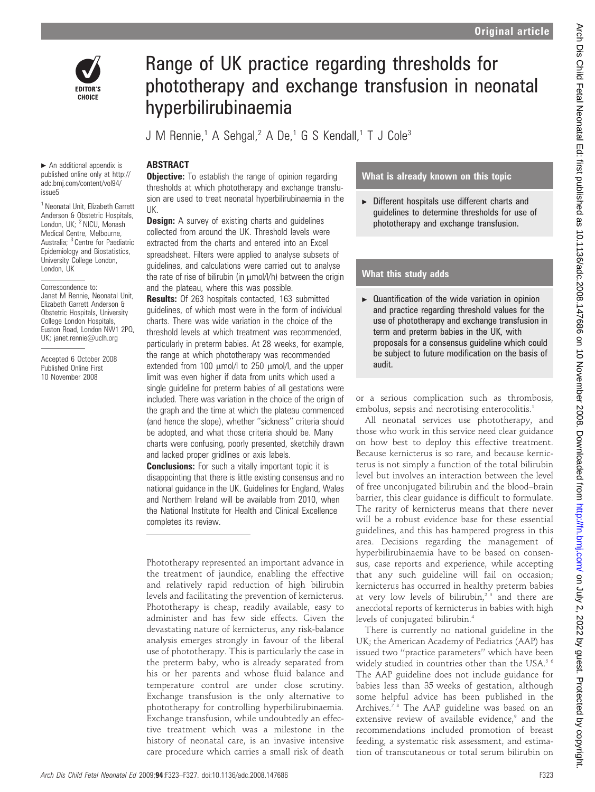

Range of UK practice regarding thresholds for phototherapy and exchange transfusion in neonatal hyperbilirubinaemia

J M Rennie,<sup>1</sup> A Sehgal,<sup>2</sup> A De,<sup>1</sup> G S Kendall,<sup>1</sup> T J Cole<sup>3</sup>

# ABSTRACT

**Objective:** To establish the range of opinion regarding thresholds at which phototherapy and exchange transfusion are used to treat neonatal hyperbilirubinaemia in the UK.

**Design:** A survey of existing charts and guidelines collected from around the UK. Threshold levels were extracted from the charts and entered into an Excel spreadsheet. Filters were applied to analyse subsets of guidelines, and calculations were carried out to analyse the rate of rise of bilirubin (in  $\mu$ mol/l/h) between the origin and the plateau, where this was possible.

Results: Of 263 hospitals contacted, 163 submitted guidelines, of which most were in the form of individual charts. There was wide variation in the choice of the threshold levels at which treatment was recommended, particularly in preterm babies. At 28 weeks, for example, the range at which phototherapy was recommended extended from 100  $\mu$ mol/l to 250  $\mu$ mol/l, and the upper limit was even higher if data from units which used a single guideline for preterm babies of all gestations were included. There was variation in the choice of the origin of the graph and the time at which the plateau commenced (and hence the slope), whether ''sickness'' criteria should be adopted, and what those criteria should be. Many charts were confusing, poorly presented, sketchily drawn and lacked proper gridlines or axis labels.

**Conclusions:** For such a vitally important topic it is disappointing that there is little existing consensus and no national guidance in the UK. Guidelines for England, Wales and Northern Ireland will be available from 2010, when the National Institute for Health and Clinical Excellence completes its review.

Phototherapy represented an important advance in the treatment of jaundice, enabling the effective and relatively rapid reduction of high bilirubin levels and facilitating the prevention of kernicterus. Phototherapy is cheap, readily available, easy to administer and has few side effects. Given the devastating nature of kernicterus, any risk-balance analysis emerges strongly in favour of the liberal use of phototherapy. This is particularly the case in the preterm baby, who is already separated from his or her parents and whose fluid balance and temperature control are under close scrutiny. Exchange transfusion is the only alternative to phototherapy for controlling hyperbilirubinaemia. Exchange transfusion, while undoubtedly an effective treatment which was a milestone in the history of neonatal care, is an invasive intensive care procedure which carries a small risk of death

# What is already known on this topic

 $\triangleright$  Different hospitals use different charts and guidelines to determine thresholds for use of phototherapy and exchange transfusion.

# What this study adds

 $\blacktriangleright$  Quantification of the wide variation in opinion and practice regarding threshold values for the use of phototherapy and exchange transfusion in term and preterm babies in the UK, with proposals for a consensus guideline which could be subject to future modification on the basis of audit.

or a serious complication such as thrombosis, embolus, sepsis and necrotising enterocolitis.<sup>1</sup>

All neonatal services use phototherapy, and those who work in this service need clear guidance on how best to deploy this effective treatment. Because kernicterus is so rare, and because kernicterus is not simply a function of the total bilirubin level but involves an interaction between the level of free unconjugated bilirubin and the blood–brain barrier, this clear guidance is difficult to formulate. The rarity of kernicterus means that there never will be a robust evidence base for these essential guidelines, and this has hampered progress in this area. Decisions regarding the management of hyperbilirubinaemia have to be based on consensus, case reports and experience, while accepting that any such guideline will fail on occasion; kernicterus has occurred in healthy preterm babies at very low levels of bilirubin,<sup>23</sup> and there are anecdotal reports of kernicterus in babies with high levels of conjugated bilirubin.4

There is currently no national guideline in the UK; the American Academy of Pediatrics (AAP) has issued two ''practice parameters'' which have been widely studied in countries other than the USA.<sup>56</sup> The AAP guideline does not include guidance for babies less than 35 weeks of gestation, although some helpful advice has been published in the Archives.<sup>78</sup> The AAP guideline was based on an extensive review of available evidence,<sup>9</sup> and the recommendations included promotion of breast feeding, a systematic risk assessment, and estimation of transcutaneous or total serum bilirubin on

 $\blacktriangleright$  An additional appendix is published online only at http:// adc.bmj.com/content/vol94/ issue5

<sup>1</sup> Neonatal Unit, Elizabeth Garrett Anderson & Obstetric Hospitals, London, UK; <sup>2</sup> NICU, Monash Medical Centre, Melbourne, Australia; <sup>3</sup> Centre for Paediatric Epidemiology and Biostatistics, University College London, London, UK

Correspondence to: Janet M Rennie, Neonatal Unit, Elizabeth Garrett Anderson & Obstetric Hospitals, University College London Hospitals, Euston Road, London NW1 2PQ, UK; janet.rennie@uclh.org

Accepted 6 October 2008 Published Online First 10 November 2008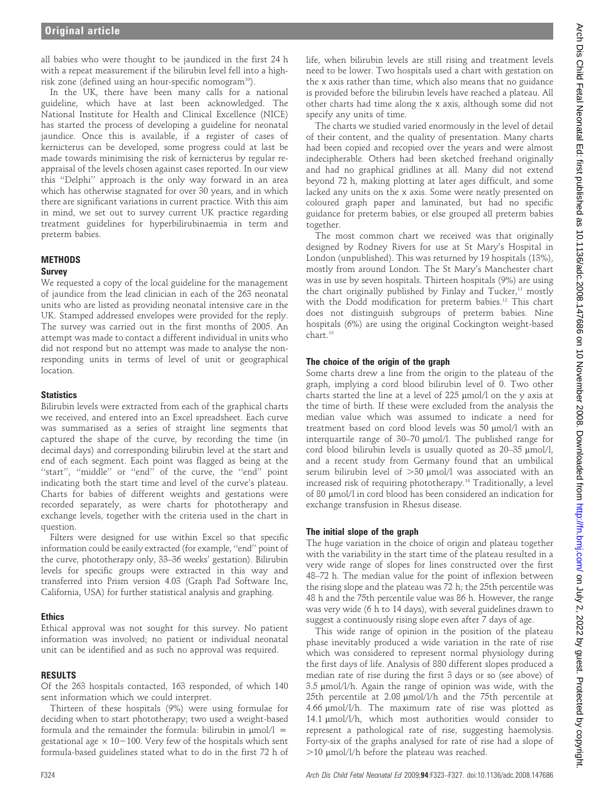all babies who were thought to be jaundiced in the first 24 h with a repeat measurement if the bilirubin level fell into a highrisk zone (defined using an hour-specific nomogram<sup>10</sup>).

In the UK, there have been many calls for a national guideline, which have at last been acknowledged. The National Institute for Health and Clinical Excellence (NICE) has started the process of developing a guideline for neonatal jaundice. Once this is available, if a register of cases of kernicterus can be developed, some progress could at last be made towards minimising the risk of kernicterus by regular reappraisal of the levels chosen against cases reported. In our view this ''Delphi'' approach is the only way forward in an area which has otherwise stagnated for over 30 years, and in which there are significant variations in current practice. With this aim in mind, we set out to survey current UK practice regarding treatment guidelines for hyperbilirubinaemia in term and preterm babies.

## METHODS

#### Survey

We requested a copy of the local guideline for the management of jaundice from the lead clinician in each of the 263 neonatal units who are listed as providing neonatal intensive care in the UK. Stamped addressed envelopes were provided for the reply. The survey was carried out in the first months of 2005. An attempt was made to contact a different individual in units who did not respond but no attempt was made to analyse the nonresponding units in terms of level of unit or geographical location.

# **Statistics**

Bilirubin levels were extracted from each of the graphical charts we received, and entered into an Excel spreadsheet. Each curve was summarised as a series of straight line segments that captured the shape of the curve, by recording the time (in decimal days) and corresponding bilirubin level at the start and end of each segment. Each point was flagged as being at the ''start'', ''middle'' or ''end'' of the curve, the ''end'' point indicating both the start time and level of the curve's plateau. Charts for babies of different weights and gestations were recorded separately, as were charts for phototherapy and exchange levels, together with the criteria used in the chart in question.

Filters were designed for use within Excel so that specific information could be easily extracted (for example, ''end'' point of the curve, phototherapy only, 33–36 weeks' gestation). Bilirubin levels for specific groups were extracted in this way and transferred into Prism version 4.03 (Graph Pad Software Inc, California, USA) for further statistical analysis and graphing.

#### Ethics

Ethical approval was not sought for this survey. No patient information was involved; no patient or individual neonatal unit can be identified and as such no approval was required.

#### RESULTS

Of the 263 hospitals contacted, 163 responded, of which 140 sent information which we could interpret.

Thirteen of these hospitals (9%) were using formulae for deciding when to start phototherapy; two used a weight-based formula and the remainder the formula: bilirubin in  $\mu$ mol/l = gestational age  $\times$  10-100. Very few of the hospitals which sent formula-based guidelines stated what to do in the first 72 h of

life, when bilirubin levels are still rising and treatment levels need to be lower. Two hospitals used a chart with gestation on the x axis rather than time, which also means that no guidance is provided before the bilirubin levels have reached a plateau. All other charts had time along the x axis, although some did not specify any units of time.

The charts we studied varied enormously in the level of detail of their content, and the quality of presentation. Many charts had been copied and recopied over the years and were almost indecipherable. Others had been sketched freehand originally and had no graphical gridlines at all. Many did not extend beyond 72 h, making plotting at later ages difficult, and some lacked any units on the x axis. Some were neatly presented on coloured graph paper and laminated, but had no specific guidance for preterm babies, or else grouped all preterm babies together.

The most common chart we received was that originally designed by Rodney Rivers for use at St Mary's Hospital in London (unpublished). This was returned by 19 hospitals (13%), mostly from around London. The St Mary's Manchester chart was in use by seven hospitals. Thirteen hospitals (9%) are using the chart originally published by Finlay and Tucker,<sup>11</sup> mostly with the Dodd modification for preterm babies.<sup>12</sup> This chart does not distinguish subgroups of preterm babies. Nine hospitals (6%) are using the original Cockington weight-based chart.13

## The choice of the origin of the graph

Some charts drew a line from the origin to the plateau of the graph, implying a cord blood bilirubin level of 0. Two other charts started the line at a level of  $225 \mu$ mol/l on the y axis at the time of birth. If these were excluded from the analysis the median value which was assumed to indicate a need for treatment based on cord blood levels was 50 mmol/l with an interquartile range of 30–70 µmol/l. The published range for cord blood bilirubin levels is usually quoted as  $20-35 \text{ }\mu\text{mol/l}$ , and a recent study from Germany found that an umbilical serum bilirubin level of  $>30$  µmol/l was associated with an increased risk of requiring phototherapy.14 Traditionally, a level of 80 mmol/l in cord blood has been considered an indication for exchange transfusion in Rhesus disease.

#### The initial slope of the graph

The huge variation in the choice of origin and plateau together with the variability in the start time of the plateau resulted in a very wide range of slopes for lines constructed over the first 48–72 h. The median value for the point of inflexion between the rising slope and the plateau was 72 h; the 25th percentile was 48 h and the 75th percentile value was 86 h. However, the range was very wide (6 h to 14 days), with several guidelines drawn to suggest a continuously rising slope even after 7 days of age.

This wide range of opinion in the position of the plateau phase inevitably produced a wide variation in the rate of rise which was considered to represent normal physiology during the first days of life. Analysis of 880 different slopes produced a median rate of rise during the first 3 days or so (see above) of  $3.5 \mu$ mol/l/h. Again the range of opinion was wide, with the 25th percentile at 2.08  $\mu$ mol/l/h and the 75th percentile at  $4.66 \mu$ mol/l/h. The maximum rate of rise was plotted as 14.1 mmol/l/h, which most authorities would consider to represent a pathological rate of rise, suggesting haemolysis. Forty-six of the graphs analysed for rate of rise had a slope of .10 mmol/l/h before the plateau was reached.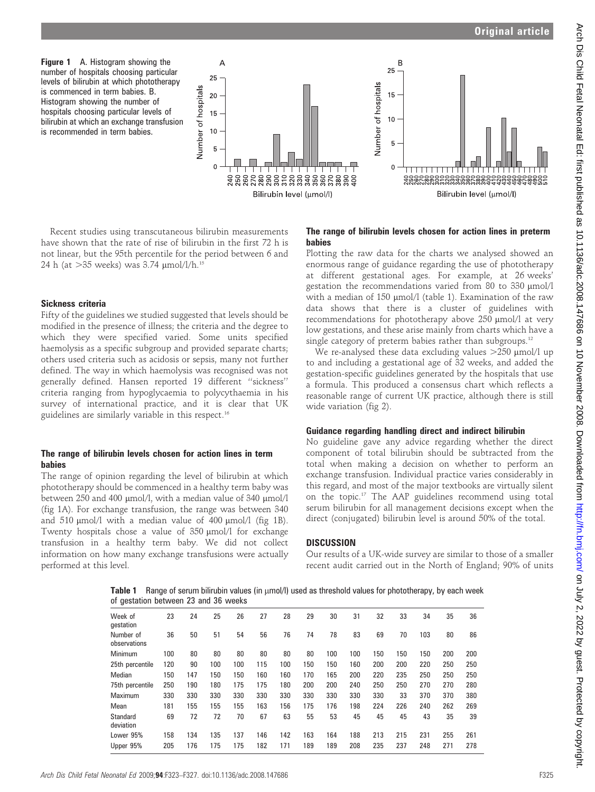Figure 1 A. Histogram showing the number of hospitals choosing particular levels of bilirubin at which phototherapy is commenced in term babies. B. Histogram showing the number of hospitals choosing particular levels of bilirubin at which an exchange transfusion is recommended in term babies.



Recent studies using transcutaneous bilirubin measurements have shown that the rate of rise of bilirubin in the first 72 h is not linear, but the 95th percentile for the period between 6 and 24 h (at  $>35$  weeks) was 3.74  $\mu$ mol/l/h.<sup>15</sup>

#### Sickness criteria

Fifty of the guidelines we studied suggested that levels should be modified in the presence of illness; the criteria and the degree to which they were specified varied. Some units specified haemolysis as a specific subgroup and provided separate charts; others used criteria such as acidosis or sepsis, many not further defined. The way in which haemolysis was recognised was not generally defined. Hansen reported 19 different ''sickness'' criteria ranging from hypoglycaemia to polycythaemia in his survey of international practice, and it is clear that UK guidelines are similarly variable in this respect.<sup>16</sup>

#### The range of bilirubin levels chosen for action lines in term babies

The range of opinion regarding the level of bilirubin at which phototherapy should be commenced in a healthy term baby was between 250 and 400  $\mu$ mol/l, with a median value of 340  $\mu$ mol/l (fig 1A). For exchange transfusion, the range was between 340 and  $510 \text{ }\mu\text{mol/l}$  with a median value of  $400 \text{ }\mu\text{mol/l}$  (fig 1B). Twenty hospitals chose a value of 350 µmol/l for exchange transfusion in a healthy term baby. We did not collect information on how many exchange transfusions were actually performed at this level.

The range of bilirubin levels chosen for action lines in preterm babies

Plotting the raw data for the charts we analysed showed an enormous range of guidance regarding the use of phototherapy at different gestational ages. For example, at 26 weeks' gestation the recommendations varied from 80 to 330  $\mu$ mol/l with a median of  $150 \mu$ mol/l (table 1). Examination of the raw data shows that there is a cluster of guidelines with recommendations for phototherapy above 250 µmol/l at very low gestations, and these arise mainly from charts which have a single category of preterm babies rather than subgroups.<sup>12</sup>

We re-analysed these data excluding values  $>250$  µmol/l up to and including a gestational age of 32 weeks, and added the gestation-specific guidelines generated by the hospitals that use a formula. This produced a consensus chart which reflects a reasonable range of current UK practice, although there is still wide variation (fig 2).

#### Guidance regarding handling direct and indirect bilirubin

No guideline gave any advice regarding whether the direct component of total bilirubin should be subtracted from the total when making a decision on whether to perform an exchange transfusion. Individual practice varies considerably in this regard, and most of the major textbooks are virtually silent on the topic.17 The AAP guidelines recommend using total serum bilirubin for all management decisions except when the direct (conjugated) bilirubin level is around 50% of the total.

#### **DISCUSSION**

Our results of a UK-wide survey are similar to those of a smaller recent audit carried out in the North of England; 90% of units

Table 1 Range of serum bilirubin values (in  $\mu$ mol/l) used as threshold values for phototherapy, by each week of gestation between 23 and 36 weeks

| Week of<br>qestation      | 23  | 24  | 25  | 26  | 27  | 28  | 29  | 30  | 31  | 32  | 33  | 34  | 35  | 36  |
|---------------------------|-----|-----|-----|-----|-----|-----|-----|-----|-----|-----|-----|-----|-----|-----|
| Number of<br>observations | 36  | 50  | 51  | 54  | 56  | 76  | 74  | 78  | 83  | 69  | 70  | 103 | 80  | 86  |
| Minimum                   | 100 | 80  | 80  | 80  | 80  | 80  | 80  | 100 | 100 | 150 | 150 | 150 | 200 | 200 |
| 25th percentile           | 120 | 90  | 100 | 100 | 115 | 100 | 150 | 150 | 160 | 200 | 200 | 220 | 250 | 250 |
| Median                    | 150 | 147 | 150 | 150 | 160 | 160 | 170 | 165 | 200 | 220 | 235 | 250 | 250 | 250 |
| 75th percentile           | 250 | 190 | 180 | 175 | 175 | 180 | 200 | 200 | 240 | 250 | 250 | 270 | 270 | 280 |
| Maximum                   | 330 | 330 | 330 | 330 | 330 | 330 | 330 | 330 | 330 | 330 | 33  | 370 | 370 | 380 |
| Mean                      | 181 | 155 | 155 | 155 | 163 | 156 | 175 | 176 | 198 | 224 | 226 | 240 | 262 | 269 |
| Standard<br>deviation     | 69  | 72  | 72  | 70  | 67  | 63  | 55  | 53  | 45  | 45  | 45  | 43  | 35  | 39  |
| Lower 95%                 | 158 | 134 | 135 | 137 | 146 | 142 | 163 | 164 | 188 | 213 | 215 | 231 | 255 | 261 |
| Upper 95%                 | 205 | 176 | 175 | 175 | 182 | 171 | 189 | 189 | 208 | 235 | 237 | 248 | 271 | 278 |
|                           |     |     |     |     |     |     |     |     |     |     |     |     |     |     |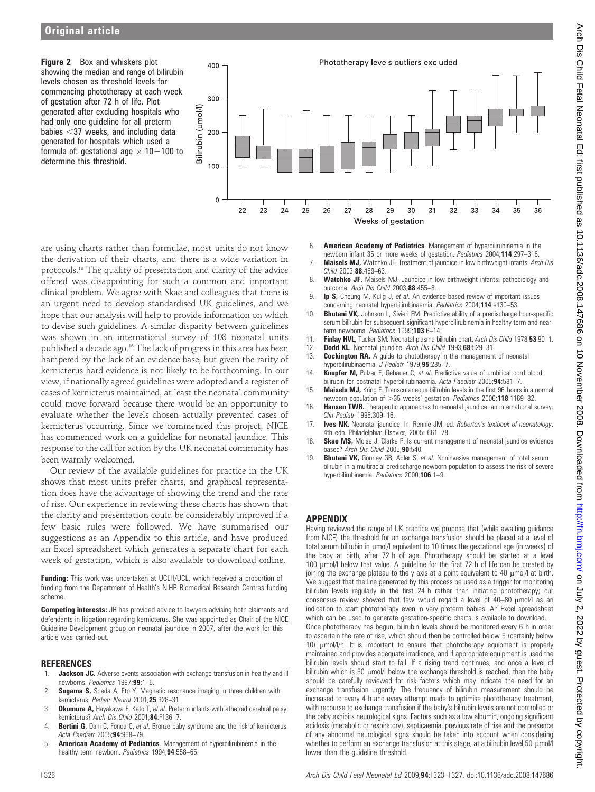Figure 2 Box and whiskers plot showing the median and range of bilirubin levels chosen as threshold levels for commencing phototherapy at each week of gestation after 72 h of life. Plot generated after excluding hospitals who had only one guideline for all preterm babies  $<$ 37 weeks, and including data generated for hospitals which used a formula of: gestational age  $\times$  10-100 to determine this threshold.



are using charts rather than formulae, most units do not know the derivation of their charts, and there is a wide variation in protocols.18 The quality of presentation and clarity of the advice offered was disappointing for such a common and important clinical problem. We agree with Skae and colleagues that there is an urgent need to develop standardised UK guidelines, and we hope that our analysis will help to provide information on which to devise such guidelines. A similar disparity between guidelines was shown in an international survey of 108 neonatal units published a decade ago.<sup>16</sup> The lack of progress in this area has been hampered by the lack of an evidence base; but given the rarity of kernicterus hard evidence is not likely to be forthcoming. In our view, if nationally agreed guidelines were adopted and a register of cases of kernicterus maintained, at least the neonatal community could move forward because there would be an opportunity to evaluate whether the levels chosen actually prevented cases of kernicterus occurring. Since we commenced this project, NICE has commenced work on a guideline for neonatal jaundice. This response to the call for action by the UK neonatal community has been warmly welcomed.

Our review of the available guidelines for practice in the UK shows that most units prefer charts, and graphical representation does have the advantage of showing the trend and the rate of rise. Our experience in reviewing these charts has shown that the clarity and presentation could be considerably improved if a few basic rules were followed. We have summarised our suggestions as an Appendix to this article, and have produced an Excel spreadsheet which generates a separate chart for each week of gestation, which is also available to download online.

Funding: This work was undertaken at UCLH/UCL, which received a proportion of funding from the Department of Health's NIHR Biomedical Research Centres funding scheme.

**Competing interests:** JR has provided advice to lawyers advising both claimants and defendants in litigation regarding kernicterus. She was appointed as Chair of the NICE Guideline Development group on neonatal jaundice in 2007, after the work for this article was carried out.

#### REFERENCES

- 1. **Jackson JC.** Adverse events association with exchange transfusion in healthy and ill newborns. Pediatrics 1997;99:1–6.
- 2. Sugama S, Soeda A, Eto Y. Magnetic resonance imaging in three children with kernicterus. Pediatr Neurol 2001;25:328-31.
- 3. Okumura A, Hayakawa F, Kato T, et al. Preterm infants with athetoid cerebral palsy: kernicterus? Arch Dis Child 2001;84:F136-7.
- 4. Bertini G, Dani C, Fonda C, et al. Bronze baby syndrome and the risk of kernicterus. Acta Paediatr 2005;94:968–79.
- 5. American Academy of Pediatrics. Management of hyperbilirubinemia in the healthy term newborn. Pediatrics 1994;94:558-65.
- 6. American Academy of Pediatrics. Management of hyperbilirubinemia in the newborn infant 35 or more weeks of gestation. Pediatrics 2004;114:297-316.
- 7. **Maisels MJ,** Watchko JF. Treatment of jaundice in low birthweight infants. Arch Dis Child 2003;88:459–63.
- 8. Watchko JF, Maisels MJ. Jaundice in low birthweight infants: pathobiology and outcome. Arch Dis Child 2003;88:455-8.
- 9. **Ip S,** Cheung M, Kulig J, et al. An evidence-based review of important issues concerning neonatal hyperbilirubinaemia. Pediatrics 2004;114:e130–53.
- 10. **Bhutani VK,** Johnson L, Sivieri EM. Predictive ability of a predischarge hour-specific serum bilirubin for subsequent significant hyperbilirubinemia in healthy term and nearterm newborns. Pediatrics 1999;103:6-14.
- 11. Finlay HVL, Tucker SM. Neonatal plasma bilirubin chart. Arch Dis Child 1978;53:90-1.
- 12. Dodd KL. Neonatal jaundice. Arch Dis Child 1993;68:529-31.
- 13. **Cockington RA.** A guide to phototherapy in the management of neonatal hyperbilirubinaemia. J Pediatr 1979;95:285-7. 14. **Knupfer M,** Pulzer F, Gebauer C, et al. Predictive value of umbilical cord blood
- bilirubin for postnatal hyperbilirubinaemia. Acta Paediatr 2005;94:581-7.
- 15. **Maisels MJ,** Kring E. Transcutaneous bilirubin levels in the first 96 hours in a normal newborn population of >35 weeks' gestation. Pediatrics 2006;118:1169-82.
- 16. **Hansen TWR.** Therapeutic approaches to neonatal jaundice: an international survey. Clin Pediatr 1996:309–16.
- 17. Ives NK. Neonatal jaundice. In: Rennie JM, ed. Roberton's textbook of neonatology. 4th edn. Philadelphia: Elsevier, 2005: 661–78.
- 18. **Skae MS,** Moise J, Clarke P. Is current management of neonatal jaundice evidence based? Arch Dis Child 2005;90:540.
- 19. Bhutani VK, Gourley GR, Adler S, et al. Noninvasive management of total serum blirubin in a multiracial predischarge newborn population to assess the risk of severe hyperbilirubinemia. Pediatrics 2000;106:1-9.

#### APPENDIX

Having reviewed the range of UK practice we propose that (while awaiting guidance from NICE) the threshold for an exchange transfusion should be placed at a level of total serum bilirubin in umol/l equivalent to 10 times the gestational age (in weeks) of the baby at birth, after 72 h of age. Phototherapy should be started at a level 100  $\mu$ mol/l below that value. A guideline for the first 72 h of life can be created by joining the exchange plateau to the y axis at a point equivalent to 40 µmol/l at birth. We suggest that the line generated by this process be used as a trigger for monitoring bilirubin levels regularly in the first 24 h rather than initiating phototherapy; our consensus review showed that few would regard a level of 40-80  $\mu$ mol/l as an indication to start phototherapy even in very preterm babies. An Excel spreadsheet which can be used to generate gestation-specific charts is available to download. Once phototherapy has begun, bilirubin levels should be monitored every 6 h in order to ascertain the rate of rise, which should then be controlled below 5 (certainly below 10)  $\mu$ mol/l/h. It is important to ensure that phototherapy equipment is properly maintained and provides adequate irradiance, and if appropriate equipment is used the bilirubin levels should start to fall. If a rising trend continues, and once a level of bilirubin which is 50  $\mu$ mol/l below the exchange threshold is reached, then the baby should be carefully reviewed for risk factors which may indicate the need for an exchange transfusion urgently. The frequency of bilirubin measurement should be increased to every 4 h and every attempt made to optimise phototherapy treatment, with recourse to exchange transfusion if the baby's bilirubin levels are not controlled or the baby exhibits neurological signs. Factors such as a low albumin, ongoing significant acidosis (metabolic or respiratory), septicaemia, previous rate of rise and the presence of any abnormal neurological signs should be taken into account when considering whether to perform an exchange transfusion at this stage, at a bilirubin level 50  $\mu$ mol/l lower than the guideline threshold.